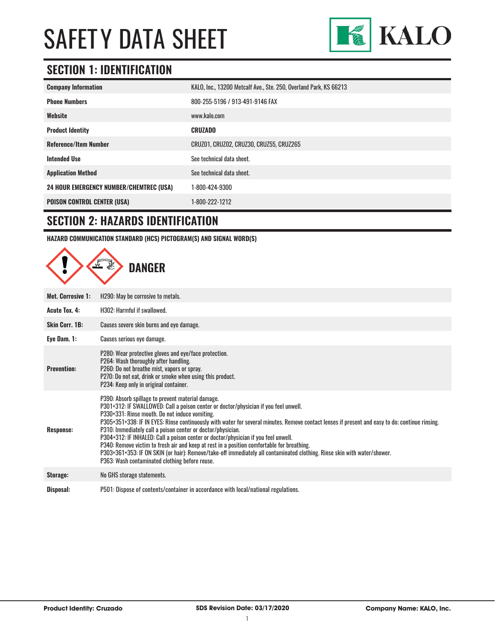

### **SECTION 1: IDENTIFICATION**

| <b>Company Information</b>                     | KALO, Inc., 13200 Metcalf Ave., Ste. 250, Overland Park, KS 66213 |
|------------------------------------------------|-------------------------------------------------------------------|
| <b>Phone Numbers</b>                           | 800-255-5196 / 913-491-9146 FAX                                   |
| Website                                        | www.kalo.com                                                      |
| <b>Product Identity</b>                        | <b>CRUZADO</b>                                                    |
| <b>Reference/Item Number</b>                   | CRUZ01, CRUZ02, CRUZ30, CRUZ55, CRUZ265                           |
| <b>Intended Use</b>                            | See technical data sheet.                                         |
| <b>Application Method</b>                      | See technical data sheet.                                         |
| <b>24 HOUR EMERGENCY NUMBER/CHEMTREC (USA)</b> | 1-800-424-9300                                                    |
| <b>POISON CONTROL CENTER (USA)</b>             | 1-800-222-1212                                                    |

#### **SECTION 2: HAZARDS IDENTIFICATION**

**HAZARD COMMUNICATION STANDARD (HCS) PICTOGRAM(S) AND SIGNAL WORD(S)**

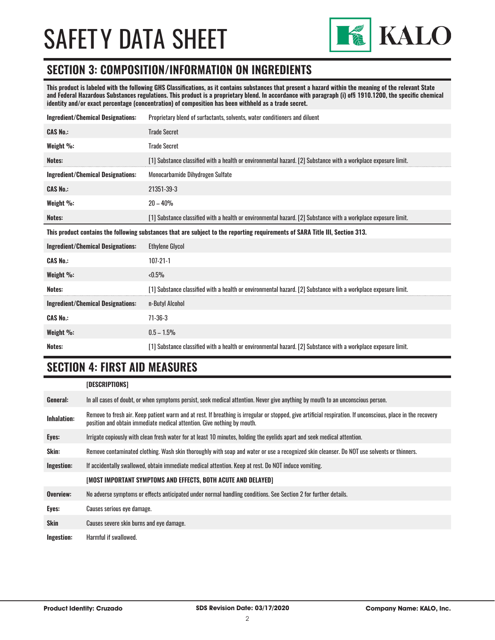

#### **SECTION 3: COMPOSITION/INFORMATION ON INGREDIENTS**

**This product is labeled with the following GHS Classifications, as it contains substances that present a hazard within the meaning of the relevant State and Federal Hazardous Substances regulations. This product is a proprietary blend. In accordance with paragraph (i) of§ 1910.1200, the specific chemical identity and/or exact percentage (concentration) of composition has been withheld as a trade secret.**

| <b>Ingredient/Chemical Designations:</b>                                                                                      | Proprietary blend of surfactants, solvents, water conditioners and diluent                                     |  |
|-------------------------------------------------------------------------------------------------------------------------------|----------------------------------------------------------------------------------------------------------------|--|
| <b>CAS No.:</b>                                                                                                               | <b>Trade Secret</b>                                                                                            |  |
| Weight %:                                                                                                                     | <b>Trade Secret</b>                                                                                            |  |
| Notes:                                                                                                                        | [1] Substance classified with a health or environmental hazard. [2] Substance with a workplace exposure limit. |  |
| <b>Ingredient/Chemical Designations:</b>                                                                                      | Monocarbamide Dihydrogen Sulfate                                                                               |  |
| <b>CAS No.:</b>                                                                                                               | 21351-39-3                                                                                                     |  |
| Weight $\%$ :                                                                                                                 | $20 - 40%$                                                                                                     |  |
| Notes:                                                                                                                        | [1] Substance classified with a health or environmental hazard. [2] Substance with a workplace exposure limit. |  |
| This product contains the following substances that are subject to the reporting requirements of SARA Title III, Section 313. |                                                                                                                |  |
|                                                                                                                               |                                                                                                                |  |
| <b>Ingredient/Chemical Designations:</b>                                                                                      | <b>Ethylene Glycol</b>                                                                                         |  |
| <b>CAS No.:</b>                                                                                                               | $107 - 21 - 1$                                                                                                 |  |
| Weight %:                                                                                                                     | $< 0.5\%$                                                                                                      |  |
| Notes:                                                                                                                        | [1] Substance classified with a health or environmental hazard. [2] Substance with a workplace exposure limit. |  |
| <b>Ingredient/Chemical Designations:</b>                                                                                      | n-Butyl Alcohol                                                                                                |  |
| <b>CAS No.:</b>                                                                                                               | $71 - 36 - 3$                                                                                                  |  |
| Weight %:                                                                                                                     | $0.5 - 1.5\%$                                                                                                  |  |

### **SECTION 4: FIRST AID MEASURES**

|                    | [DESCRIPTIONS]                                                                                                                                                                                                                          |
|--------------------|-----------------------------------------------------------------------------------------------------------------------------------------------------------------------------------------------------------------------------------------|
| General:           | In all cases of doubt, or when symptoms persist, seek medical attention. Never give anything by mouth to an unconscious person.                                                                                                         |
| <b>Inhalation:</b> | Remove to fresh air. Keep patient warm and at rest. If breathing is irregular or stopped, give artificial respiration. If unconscious, place in the recovery<br>position and obtain immediate medical attention. Give nothing by mouth. |
| Eyes:              | Irrigate copiously with clean fresh water for at least 10 minutes, holding the eyelids apart and seek medical attention.                                                                                                                |
| Skin:              | Remove contaminated clothing. Wash skin thoroughly with soap and water or use a recognized skin cleanser. Do NOT use solvents or thinners.                                                                                              |
| Ingestion:         | If accidentally swallowed, obtain immediate medical attention. Keep at rest. Do NOT induce vomiting.                                                                                                                                    |
|                    | [MOST IMPORTANT SYMPTOMS AND EFFECTS, BOTH ACUTE AND DELAYED]                                                                                                                                                                           |
| Overview:          | No adverse symptoms or effects anticipated under normal handling conditions. See Section 2 for further details.                                                                                                                         |
| Eyes:              | Causes serious eye damage.                                                                                                                                                                                                              |
| <b>Skin</b>        | Causes severe skin burns and eye damage.                                                                                                                                                                                                |
| Ingestion:         | Harmful if swallowed.                                                                                                                                                                                                                   |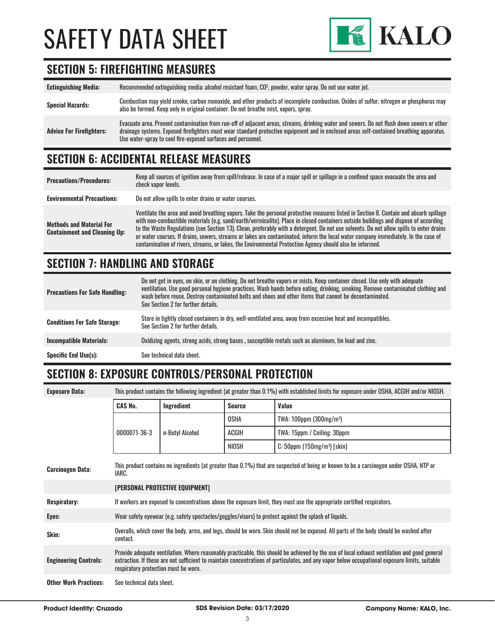

#### **SECTION 5: FIREFIGHTING MEASURES**

**Extinguishing Media:** Recommended extinguishing media: alcohol resistant foam, CO<sup>2</sup> , powder, water spray. Do not use water jet. Special Hazards:<br>
Special Hazards:<br>
Special Hazards:<br>
Special Hazards:<br>
Special Hazards:<br>
Special Hazards: also be formed. Keep only in original container. Do not breathe mist, vapors, spray. **Advice For Firefighters:** Evacuate area. Prevent contamination from run-off of adjacent areas, streams, drinking water and sewers. Do not flush down sewers or other drainage systems. Exposed firefighters must wear standard protective equipment and in enclosed areas self-contained breathing apparatus. Use water-spray to cool fire-exposed surfaces and personnel.

#### **SECTION 6: ACCIDENTAL RELEASE MEASURES**

| <b>Precautions/Procedures:</b>                                         | Keep all sources of ignition away from spill/release. In case of a major spill or spillage in a confined space evacuate the area and<br>check vapor levels.                                                                                                                                                                                                                                                                                                                                                                                                                                                                                                               |
|------------------------------------------------------------------------|---------------------------------------------------------------------------------------------------------------------------------------------------------------------------------------------------------------------------------------------------------------------------------------------------------------------------------------------------------------------------------------------------------------------------------------------------------------------------------------------------------------------------------------------------------------------------------------------------------------------------------------------------------------------------|
| <b>Environmental Precautions:</b>                                      | Do not allow spills to enter drains or water courses.                                                                                                                                                                                                                                                                                                                                                                                                                                                                                                                                                                                                                     |
| <b>Methods and Material For</b><br><b>Containment and Cleaning Up:</b> | Ventilate the area and avoid breathing vapors. Take the personal protective measures listed in Section 8. Contain and absorb spillage<br>with non-combustible materials (e.g. sand/earth/vermiculite). Place in closed containers outside buildings and dispose of according<br>to the Waste Regulations (see Section 13). Clean, preferably with a detergent. Do not use solvents. Do not allow spills to enter drains<br>or water courses. If drains, sewers, streams or lakes are contaminated, inform the local water company immediately. In the case of<br>contamination of rivers, streams, or lakes, the Environmental Protection Agency should also be informed. |

#### **SECTION 7: HANDLING AND STORAGE**

| <b>Precautions For Safe Handling:</b> | Do not get in eyes, on skin, or on clothing. Do not breathe vapors or mists. Keep container closed. Use only with adequate<br>ventilation. Use good personal hygiene practices. Wash hands before eating, drinking, smoking. Remove contaminated clothing and<br>wash before reuse. Destroy contaminated belts and shoes and other items that cannot be decontaminated.<br>See Section 2 for further details. |
|---------------------------------------|---------------------------------------------------------------------------------------------------------------------------------------------------------------------------------------------------------------------------------------------------------------------------------------------------------------------------------------------------------------------------------------------------------------|
| <b>Conditions For Safe Storage:</b>   | Store in tightly closed containers in dry, well-ventilated area, away from excessive heat and incompatibles.<br>See Section 2 for further details.                                                                                                                                                                                                                                                            |
| <b>Incompatible Materials:</b>        | Oxidizing agents, strong acids, strong bases, susceptible metals such as aluminum, tin lead and zinc.                                                                                                                                                                                                                                                                                                         |
| <b>Specific End Use(s):</b>           | See technical data sheet.                                                                                                                                                                                                                                                                                                                                                                                     |

## **SECTION 8: EXPOSURE CONTROLS/PERSONAL PROTECTION**

| <b>Exposure Data:</b>        | This product contains the following ingredient (at greater than 0.1%) with established limits for exposure under OSHA, ACGIH and/or NIOSH.                                                                                                                                                                                             |                 |               |                                            |
|------------------------------|----------------------------------------------------------------------------------------------------------------------------------------------------------------------------------------------------------------------------------------------------------------------------------------------------------------------------------------|-----------------|---------------|--------------------------------------------|
|                              | <b>CAS No.</b>                                                                                                                                                                                                                                                                                                                         | Ingredient      | <b>Source</b> | Value                                      |
|                              |                                                                                                                                                                                                                                                                                                                                        |                 | <b>OSHA</b>   | TWA: $100$ ppm ( $300$ mg/m <sup>3</sup> ) |
|                              | 0000071-36-3                                                                                                                                                                                                                                                                                                                           | n-Butyl Alcohol | ACGIH         | TWA: 15ppm / Ceiling: 30ppm                |
|                              |                                                                                                                                                                                                                                                                                                                                        |                 | NIOSH         | $C: 50$ ppm (150mg/m <sup>3</sup> ) [skin] |
| <b>Carcinogen Data:</b>      | This product contains no ingredients (at greater than 0.1%) that are suspected of being or known to be a carcinogen under OSHA, NTP or<br>IARC.                                                                                                                                                                                        |                 |               |                                            |
|                              | <b>[PERSONAL PROTECTIVE EQUIPMENT]</b>                                                                                                                                                                                                                                                                                                 |                 |               |                                            |
| <b>Respiratory:</b>          | If workers are exposed to concentrations above the exposure limit, they must use the appropriate certified respirators.                                                                                                                                                                                                                |                 |               |                                            |
| Eyes:                        | Wear safety eyewear (e.g. safety spectacles/goggles/visors) to protect against the splash of liquids.                                                                                                                                                                                                                                  |                 |               |                                            |
| Skin:                        | Overalls, which cover the body, arms, and legs, should be worn. Skin should not be exposed. All parts of the body should be washed after<br>contact.                                                                                                                                                                                   |                 |               |                                            |
| <b>Engineering Controls:</b> | Provide adequate ventilation. Where reasonably practicable, this should be achieved by the use of local exhaust ventilation and good general<br>extraction. If these are not sufficient to maintain concentrations of particulates, and any vapor below occupational exposure limits, suitable<br>respiratory protection must be worn. |                 |               |                                            |
| <b>Other Work Practices:</b> | See technical data sheet.                                                                                                                                                                                                                                                                                                              |                 |               |                                            |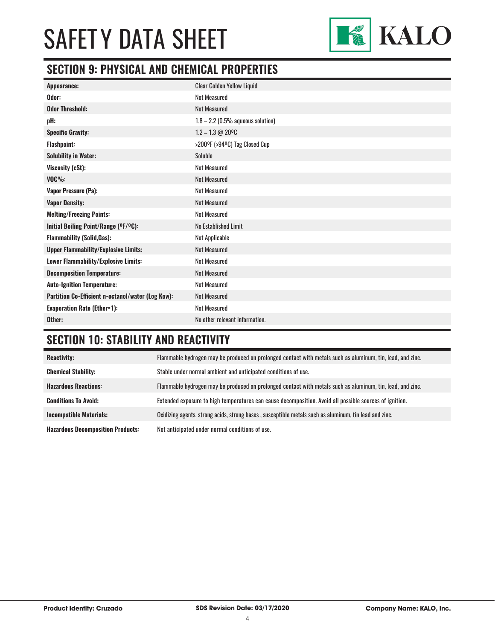

### **SECTION 9: PHYSICAL AND CHEMICAL PROPERTIES**

| Appearance:                                       | <b>Clear Golden Yellow Liquid</b>   |
|---------------------------------------------------|-------------------------------------|
| Odor:                                             | <b>Not Measured</b>                 |
| <b>Odor Threshold:</b>                            | <b>Not Measured</b>                 |
| pH:                                               | $1.8 - 2.2$ (0.5% aqueous solution) |
| <b>Specific Gravity:</b>                          | $1.2 - 1.3 \text{ } @$ 20°C         |
| <b>Flashpoint:</b>                                | >200°F (>94°C) Tag Closed Cup       |
| <b>Solubility in Water:</b>                       | Soluble                             |
| Viscosity (cSt):                                  | <b>Not Measured</b>                 |
| $VOC\%$ :                                         | <b>Not Measured</b>                 |
| Vapor Pressure (Pa):                              | <b>Not Measured</b>                 |
| <b>Vapor Density:</b>                             | <b>Not Measured</b>                 |
| <b>Melting/Freezing Points:</b>                   | <b>Not Measured</b>                 |
| Initial Boiling Point/Range (OF/OC):              | No Established Limit                |
| <b>Flammability (Solid, Gas):</b>                 | Not Applicable                      |
| <b>Upper Flammability/Explosive Limits:</b>       | <b>Not Measured</b>                 |
| Lower Flammability/Explosive Limits:              | <b>Not Measured</b>                 |
| <b>Decomposition Temperature:</b>                 | <b>Not Measured</b>                 |
| <b>Auto-Ignition Temperature:</b>                 | <b>Not Measured</b>                 |
| Partition Co-Efficient n-octanol/water (Log Kow): | <b>Not Measured</b>                 |
| <b>Evaporation Rate (Ether=1):</b>                | <b>Not Measured</b>                 |
| Other:                                            | No other relevant information.      |

## **SECTION 10: STABILITY AND REACTIVITY**

| <b>Reactivity:</b>                       | Flammable hydrogen may be produced on prolonged contact with metals such as aluminum, tin, lead, and zinc. |
|------------------------------------------|------------------------------------------------------------------------------------------------------------|
| <b>Chemical Stability:</b>               | Stable under normal ambient and anticipated conditions of use.                                             |
| <b>Hazardous Reactions:</b>              | Flammable hydrogen may be produced on prolonged contact with metals such as aluminum, tin, lead, and zinc. |
| <b>Conditions To Avoid:</b>              | Extended exposure to high temperatures can cause decomposition. Avoid all possible sources of ignition.    |
| <b>Incompatible Materials:</b>           | Oxidizing agents, strong acids, strong bases, susceptible metals such as aluminum, tin lead and zinc.      |
| <b>Hazardous Decomposition Products:</b> | Not anticipated under normal conditions of use.                                                            |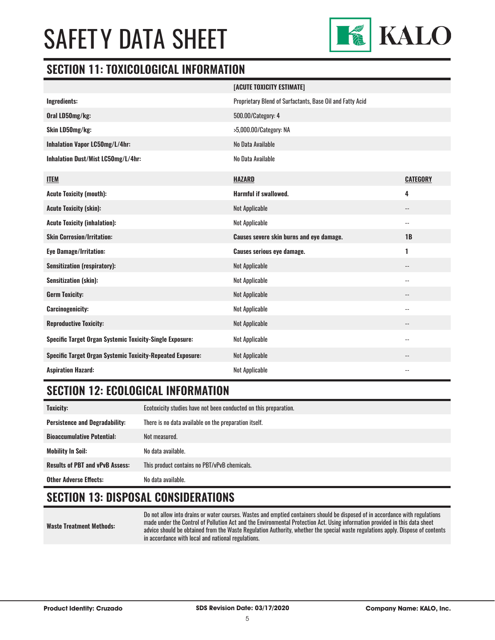

#### **SECTION 11: TOXICOLOGICAL INFORMATION**

|                                                                   | [ACUTE TOXICITY ESTIMATE]                                 |                            |
|-------------------------------------------------------------------|-----------------------------------------------------------|----------------------------|
| <b>Ingredients:</b>                                               | Proprietary Blend of Surfactants, Base Oil and Fatty Acid |                            |
| Oral LD50mg/kg:                                                   | 500.00/Category: 4                                        |                            |
| Skin LD50mg/kg:                                                   | >5,000.00/Category: NA                                    |                            |
| Inhalation Vapor LC50mg/L/4hr:                                    | No Data Available                                         |                            |
| Inhalation Dust/Mist LC50mg/L/4hr:                                | No Data Available                                         |                            |
| <b>ITEM</b>                                                       | <b>HAZARD</b>                                             | <b>CATEGORY</b>            |
| <b>Acute Toxicity (mouth):</b>                                    | <b>Harmful if swallowed.</b>                              | 4                          |
| <b>Acute Toxicity (skin):</b>                                     | <b>Not Applicable</b>                                     | $\overline{\phantom{a}}$ . |
| <b>Acute Toxicity (inhalation):</b>                               | Not Applicable                                            | --                         |
|                                                                   |                                                           |                            |
| <b>Skin Corrosion/Irritation:</b>                                 | Causes severe skin burns and eye damage.                  | 1B                         |
| <b>Eye Damage/Irritation:</b>                                     | <b>Causes serious eye damage.</b>                         | 1                          |
| <b>Sensitization (respiratory):</b>                               | <b>Not Applicable</b>                                     | --                         |
| <b>Sensitization (skin):</b>                                      | Not Applicable                                            | $\overline{\phantom{a}}$   |
| <b>Germ Toxicity:</b>                                             | <b>Not Applicable</b>                                     |                            |
| <b>Carcinogenicity:</b>                                           | Not Applicable                                            | --                         |
| <b>Reproductive Toxicity:</b>                                     | Not Applicable                                            | --                         |
| <b>Specific Target Organ Systemic Toxicity-Single Exposure:</b>   | Not Applicable                                            | $\overline{\phantom{a}}$   |
| <b>Specific Target Organ Systemic Toxicity-Repeated Exposure:</b> | <b>Not Applicable</b>                                     | $- -$                      |

### **SECTION 12: ECOLOGICAL INFORMATION**

| <b>Toxicity:</b>                       | Ecotoxicity studies have not been conducted on this preparation. |
|----------------------------------------|------------------------------------------------------------------|
| <b>Persistence and Degradability:</b>  | There is no data available on the preparation itself.            |
| <b>Bioaccumulative Potential:</b>      | Not measured.                                                    |
| Mobility In Soil:                      | No data available.                                               |
| <b>Results of PBT and vPvB Assess:</b> | This product contains no PBT/vPvB chemicals.                     |
| <b>Other Adverse Effects:</b>          | No data available.                                               |

### **SECTION 13: DISPOSAL CONSIDERATIONS**

**Waste Treatment Methods:** Do not allow into drains or water courses. Wastes and emptied containers should be disposed of in accordance with regulations made under the Control of Pollution Act and the Environmental Protection Act. Using information provided in this data sheet advice should be obtained from the Waste Regulation Authority, whether the special waste regulations apply. Dispose of contents in accordance with local and national regulations.